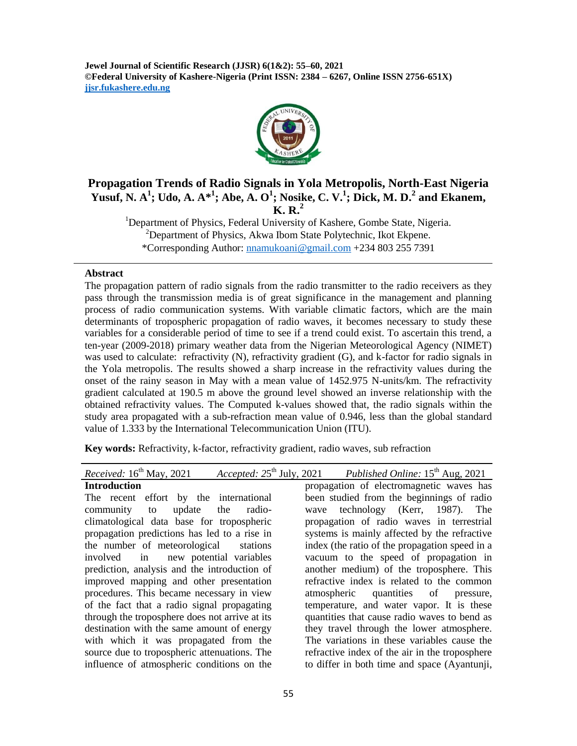**Jewel Journal of Scientific Research (JJSR) 6(1&2): 55–60, 2021 ©Federal University of Kashere-Nigeria (Print ISSN: 2384 – 6267, Online ISSN 2756-651X) jjsr.fukashere.edu.ng**



# **Propagation Trends of Radio Signals in Yola Metropolis, North-East Nigeria Yusuf, N. A 1 ; Udo, A. A\*<sup>1</sup> ; Abe, A. O 1 ; Nosike, C. V.<sup>1</sup> ; Dick, M. D.<sup>2</sup> and Ekanem, K. R.<sup>2</sup>**

<sup>1</sup>Department of Physics, Federal University of Kashere, Gombe State, Nigeria.  $2^2$ Department of Physics, Akwa Ibom State Polytechnic, Ikot Ekpene. \*Corresponding Author: [nnamukoani@gmail.com](mailto:nnamukoani@gmail.com) +234 803 255 7391

#### **Abstract**

The propagation pattern of radio signals from the radio transmitter to the radio receivers as they pass through the transmission media is of great significance in the management and planning process of radio communication systems. With variable climatic factors, which are the main determinants of tropospheric propagation of radio waves, it becomes necessary to study these variables for a considerable period of time to see if a trend could exist. To ascertain this trend, a ten-year (2009-2018) primary weather data from the Nigerian Meteorological Agency (NIMET) was used to calculate: refractivity (N), refractivity gradient (G), and k-factor for radio signals in the Yola metropolis. The results showed a sharp increase in the refractivity values during the onset of the rainy season in May with a mean value of 1452.975 N-units/km. The refractivity gradient calculated at 190.5 m above the ground level showed an inverse relationship with the obtained refractivity values. The Computed k-values showed that, the radio signals within the study area propagated with a sub-refraction mean value of 0.946, less than the global standard value of 1.333 by the International Telecommunication Union (ITU).

**Key words:** Refractivity, k-factor, refractivity gradient, radio waves, sub refraction

| Accepted: $25th$ July, 2021 Published Online: $15th$ Aug, 2021 |
|----------------------------------------------------------------|
| propagation of electromagnetic waves has                       |
| been studied from the beginnings of radio                      |
| technology (Kerr, 1987). The<br>wave                           |
| propagation of radio waves in terrestrial                      |
| systems is mainly affected by the refractive                   |
| index (the ratio of the propagation speed in a                 |
| vacuum to the speed of propagation in                          |
| another medium) of the troposphere. This                       |
| refractive index is related to the common                      |
| atmospheric quantities of pressure,                            |
| temperature, and water vapor. It is these                      |
| quantities that cause radio waves to bend as                   |
| they travel through the lower atmosphere.                      |
| The variations in these variables cause the                    |
| refractive index of the air in the troposphere                 |
| to differ in both time and space (Ayantunji,                   |
|                                                                |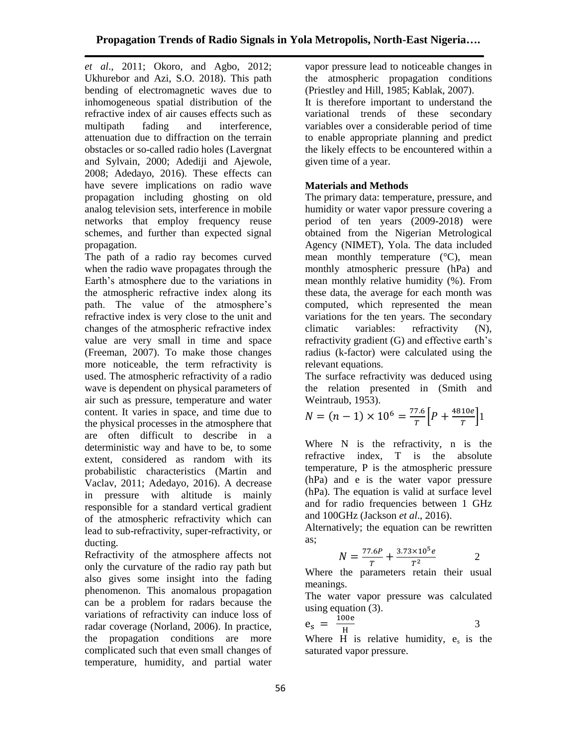*et al*., 2011; Okoro, and Agbo, 2012; Ukhurebor and Azi, S.O. 2018). This path bending of electromagnetic waves due to inhomogeneous spatial distribution of the refractive index of air causes effects such as multipath fading and interference, attenuation due to diffraction on the terrain obstacles or so-called radio holes (Lavergnat and Sylvain, 2000; Adediji and Ajewole, 2008; Adedayo, 2016). These effects can have severe implications on radio wave propagation including ghosting on old analog television sets, interference in mobile networks that employ frequency reuse schemes, and further than expected signal propagation.

The path of a radio ray becomes curved when the radio wave propagates through the Earth's atmosphere due to the variations in the atmospheric refractive index along its path. The value of the atmosphere's refractive index is very close to the unit and changes of the atmospheric refractive index value are very small in time and space (Freeman, 2007). To make those changes more noticeable, the term refractivity is used. The atmospheric refractivity of a radio wave is dependent on physical parameters of air such as pressure, temperature and water content. It varies in space, and time due to the physical processes in the atmosphere that are often difficult to describe in a deterministic way and have to be, to some extent, considered as random with its probabilistic characteristics (Martin and Vaclav, 2011; Adedayo, 2016). A decrease in pressure with altitude is mainly responsible for a standard vertical gradient of the atmospheric refractivity which can lead to sub-refractivity, super-refractivity, or ducting.

Refractivity of the atmosphere affects not only the curvature of the radio ray path but also gives some insight into the fading phenomenon. This anomalous propagation can be a problem for radars because the variations of refractivity can induce loss of radar coverage (Norland, 2006). In practice, the propagation conditions are more complicated such that even small changes of temperature, humidity, and partial water

vapor pressure lead to noticeable changes in the atmospheric propagation conditions (Priestley and Hill, 1985; Kablak, 2007). It is therefore important to understand the variational trends of these secondary variables over a considerable period of time to enable appropriate planning and predict the likely effects to be encountered within a given time of a year.

# **Materials and Methods**

The primary data: temperature, pressure, and humidity or water vapor pressure covering a period of ten years (2009-2018) were obtained from the Nigerian Metrological Agency (NIMET), Yola. The data included mean monthly temperature  $({}^{\circ}C)$ , mean monthly atmospheric pressure (hPa) and mean monthly relative humidity (%). From these data, the average for each month was computed, which represented the mean variations for the ten years. The secondary climatic variables: refractivity (N), refractivity gradient (G) and effective earth's radius (k-factor) were calculated using the relevant equations.

The surface refractivity was deduced using the relation presented in (Smith and Weintraub, 1953).

$$
N = (n-1) \times 10^6 = \frac{77.6}{T} \left[ P + \frac{4810e}{T} \right] 1
$$

Where N is the refractivity, n is the refractive index, T is the absolute temperature, P is the atmospheric pressure (hPa) and e is the water vapor pressure (hPa). The equation is valid at surface level and for radio frequencies between 1 GHz and 100GHz (Jackson *et al*., 2016).

Alternatively; the equation can be rewritten as;

$$
N = \frac{77.6P}{T} + \frac{3.73 \times 10^5 e}{T^2}
$$
 2

Where the parameters retain their usual meanings.

The water vapor pressure was calculated using equation (3).

$$
e_s = \frac{100e}{H}
$$
 3

Where H is relative humidity,  $e_s$  is the saturated vapor pressure.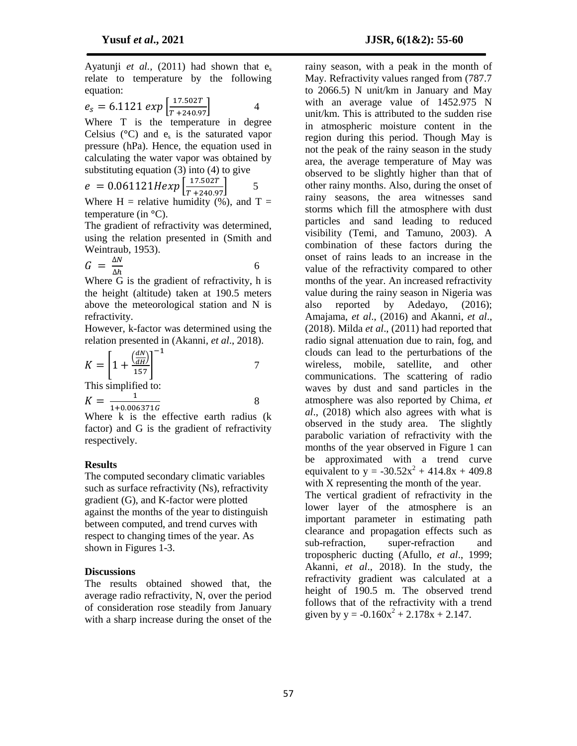Ayatunji *et al.*, (2011) had shown that  $e_s$ relate to temperature by the following equation:

 $e_s = 6.1121 \ exp \left[ \frac{17.502T}{T + 240.97} \right]$  4

Where T is the temperature in degree Celsius  $(^{\circ}C)$  and  $e_s$  is the saturated vapor pressure (hPa). Hence, the equation used in calculating the water vapor was obtained by substituting equation  $(3)$  into  $(4)$  to give

$$
e = 0.061121 \text{Hexp} \left[ \frac{17.502T}{T + 240.97} \right] \quad 5
$$

Where  $H =$  relative humidity (%), and  $T =$ temperature (in **°**C).

The gradient of refractivity was determined, using the relation presented in (Smith and Weintraub, 1953).

$$
G = \frac{\Delta N}{\Delta h} \tag{6}
$$

Where G is the gradient of refractivity, h is the height (altitude) taken at 190.5 meters above the meteorological station and N is refractivity.

However, k-factor was determined using the relation presented in (Akanni, *et al*., 2018).

$$
K = \left[1 + \frac{\left(\frac{dN}{dH}\right)}{157}\right]^{-1}
$$
  
This simplified to:

$$
K = \frac{1}{1 + 0.006371G}
$$
 8

Where k is the effective earth radius (k) factor) and G is the gradient of refractivity respectively.

### **Results**

The computed secondary climatic variables such as surface refractivity (Ns), refractivity gradient (G), and K-factor were plotted against the months of the year to distinguish between computed, and trend curves with respect to changing times of the year. As shown in Figures 1-3.

### **Discussions**

The results obtained showed that, the average radio refractivity, N, over the period of consideration rose steadily from January with a sharp increase during the onset of the

rainy season, with a peak in the month of May. Refractivity values ranged from (787.7 to 2066.5) N unit/km in January and May with an average value of 1452.975 N unit/km. This is attributed to the sudden rise in atmospheric moisture content in the region during this period. Though May is not the peak of the rainy season in the study area, the average temperature of May was observed to be slightly higher than that of other rainy months. Also, during the onset of rainy seasons, the area witnesses sand storms which fill the atmosphere with dust particles and sand leading to reduced visibility (Temi, and Tamuno, 2003). A combination of these factors during the onset of rains leads to an increase in the value of the refractivity compared to other months of the year. An increased refractivity value during the rainy season in Nigeria was also reported by Adedayo, (2016); Amajama, *et al*., (2016) and Akanni, *et al*., (2018). Milda *et al*., (2011) had reported that radio signal attenuation due to rain, fog, and clouds can lead to the perturbations of the wireless, mobile, satellite, and other communications. The scattering of radio waves by dust and sand particles in the atmosphere was also reported by Chima, *et al*., (2018) which also agrees with what is observed in the study area. The slightly parabolic variation of refractivity with the months of the year observed in Figure 1 can be approximated with a trend curve equivalent to  $y = -30.52x^2 + 414.8x + 409.8$ with X representing the month of the year. The vertical gradient of refractivity in the lower layer of the atmosphere is an important parameter in estimating path clearance and propagation effects such as sub-refraction, super-refraction and tropospheric ducting (Afullo, *et al*., 1999; Akanni, *et al*., 2018). In the study, the refractivity gradient was calculated at a height of 190.5 m. The observed trend follows that of the refractivity with a trend

given by  $y = -0.160x^2 + 2.178x + 2.147$ .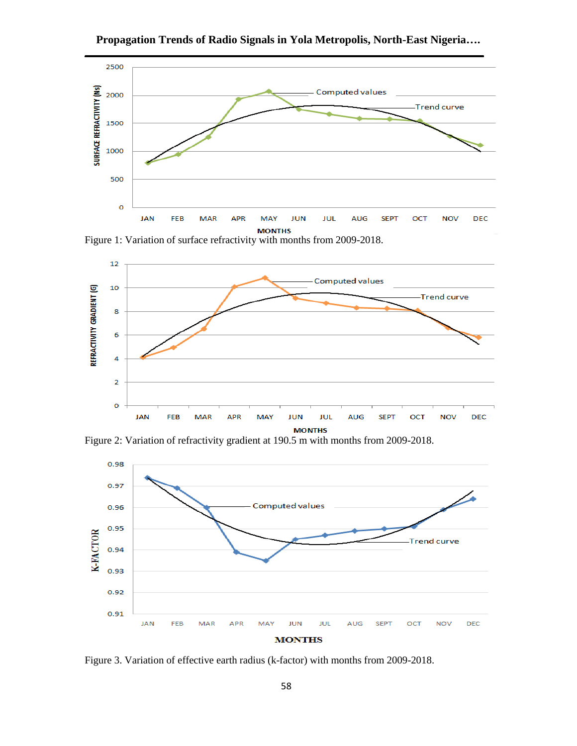

**Propagation Trends of Radio Signals in Yola Metropolis, North-East Nigeria….**





Figure 2: Variation of refractivity gradient at 190.5 m with months from 2009-2018.



Figure 3. Variation of effective earth radius (k-factor) with months from 2009-2018.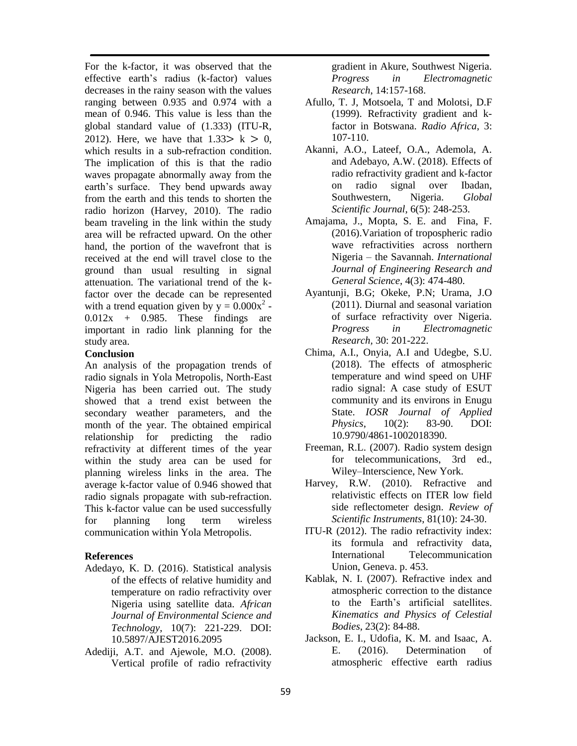For the k-factor, it was observed that the effective earth's radius (k-factor) values decreases in the rainy season with the values ranging between 0.935 and 0.974 with a mean of 0.946. This value is less than the global standard value of (1.333) (ITU-R, 2012). Here, we have that  $1.33 > k > 0$ , which results in a sub-refraction condition. The implication of this is that the radio waves propagate abnormally away from the earth's surface. They bend upwards away from the earth and this tends to shorten the radio horizon (Harvey, 2010). The radio beam traveling in the link within the study area will be refracted upward. On the other hand, the portion of the wavefront that is received at the end will travel close to the ground than usual resulting in signal attenuation. The variational trend of the kfactor over the decade can be represented with a trend equation given by  $y = 0.000x^2$ .  $0.012x + 0.985$ . These findings are important in radio link planning for the study area.

### **Conclusion**

An analysis of the propagation trends of radio signals in Yola Metropolis, North-East Nigeria has been carried out. The study showed that a trend exist between the secondary weather parameters, and the month of the year. The obtained empirical relationship for predicting the radio refractivity at different times of the year within the study area can be used for planning wireless links in the area. The average k-factor value of 0.946 showed that radio signals propagate with sub-refraction. This k-factor value can be used successfully for planning long term wireless communication within Yola Metropolis.

## **References**

- Adedayo, K. D. (2016). Statistical analysis of the effects of relative humidity and temperature on radio refractivity over Nigeria using satellite data. *African Journal of Environmental Science and Technology*, 10(7): 221-229. DOI: 10.5897/AJEST2016.2095
- Adediji, A.T. and Ajewole, M.O. (2008). Vertical profile of radio refractivity

gradient in Akure, Southwest Nigeria. *Progress in Electromagnetic Research*, 14:157-168.

- Afullo, T. J, Motsoela, T and Molotsi, D.F (1999). Refractivity gradient and kfactor in Botswana. *Radio Africa*, 3: 107-110.
- Akanni, A.O., Lateef, O.A., Ademola, A. and Adebayo, A.W. (2018). Effects of radio refractivity gradient and k-factor on radio signal over Ibadan, Southwestern, Nigeria. *Global Scientific Journal*, 6(5): 248-253.
- Amajama, J., Mopta, S. E. and Fina, F. (2016).Variation of tropospheric radio wave refractivities across northern Nigeria – the Savannah. *International Journal of Engineering Research and General Science*, 4(3): 474-480.
- Ayantunji, B.G; Okeke, P.N; Urama, J.O (2011). Diurnal and seasonal variation of surface refractivity over Nigeria. *Progress in Electromagnetic Research,* 30: 201-222.
- Chima, A.I., Onyia, A.I and Udegbe, S.U. (2018). The effects of atmospheric temperature and wind speed on UHF radio signal: A case study of ESUT community and its environs in Enugu State. *IOSR Journal of Applied Physics*, 10(2): 83-90. DOI: 10.9790/4861-1002018390.
- Freeman, R.L. (2007). Radio system design for telecommunications, 3rd ed., Wiley–Interscience, New York.
- Harvey, R.W. (2010). Refractive and relativistic effects on ITER low field side reflectometer design. *Review of Scientific Instruments*, 81(10): 24-30.
- ITU-R (2012). The radio refractivity index: its formula and refractivity data, International Telecommunication Union, Geneva. p. 453.
- Kablak, N. I. (2007). Refractive index and atmospheric correction to the distance to the Earth's artificial satellites. *Kinematics and Physics of Celestial Bodies*, 23(2): 84-88.
- Jackson, E. I., Udofia, K. M. and Isaac, A. E. (2016). Determination of atmospheric effective earth radius